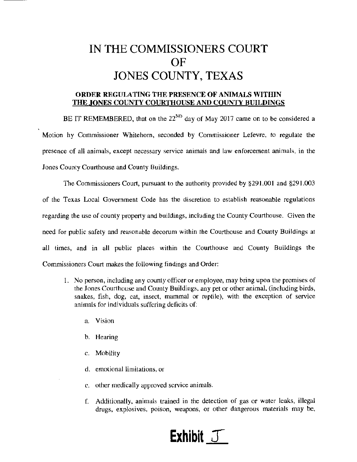## IN THE COMMISSIONERS COURT OF JONES COUNTY, TEXAS

## ORDER REGULATING THE PRESENCE OF ANIMALS WITHIN THE JONES COUNTY COURTHOUSE AND COUNTY BUILDINGS

BE IT REMEMBERED, that on the  $22^{ND}$  day of May 2017 came on to be considered a Motion by Commissioner Whitehorn, seconded by Commissioner Lefevre, to regulate the presence of all animals, except necessary service animals and law enforcement animals, in the Jones County Courthouse and County Buildings.

The Commissioners Court, pursuant to the authority provided by §291.001 and §291.003 of the Texas Local Government Code has the discretion to establish reasonable regulations regarding the use of counly property and buildings, including the County Courthouse. Given the need for public safety and reasonable decorum within the Courthouse and County Buildings at all times, and in all public places within the Courthouse and County Buildings the Commissioners Court makes the following findings and Order:

- 1. No person, including any county officer or employee, may bring upon the premises of the Jones Courthouse and County Buildings, any pet or other animal, (including birds, snakes, fish, dog, cat, insect, mammal or reptile), with the exception of service animals for individuals suffering deficits of:
	- a. Vision
	- b. Hearing
	- c. Mobility
	- d. emotional limitations, or
	- c. other medically approved service animals.
	- f. Additionally, animals trained in the detection of gas or water leaks, illegal drugs, explosives, poison, weapons, or other dangerous materials may be,

## **Exhibit** J